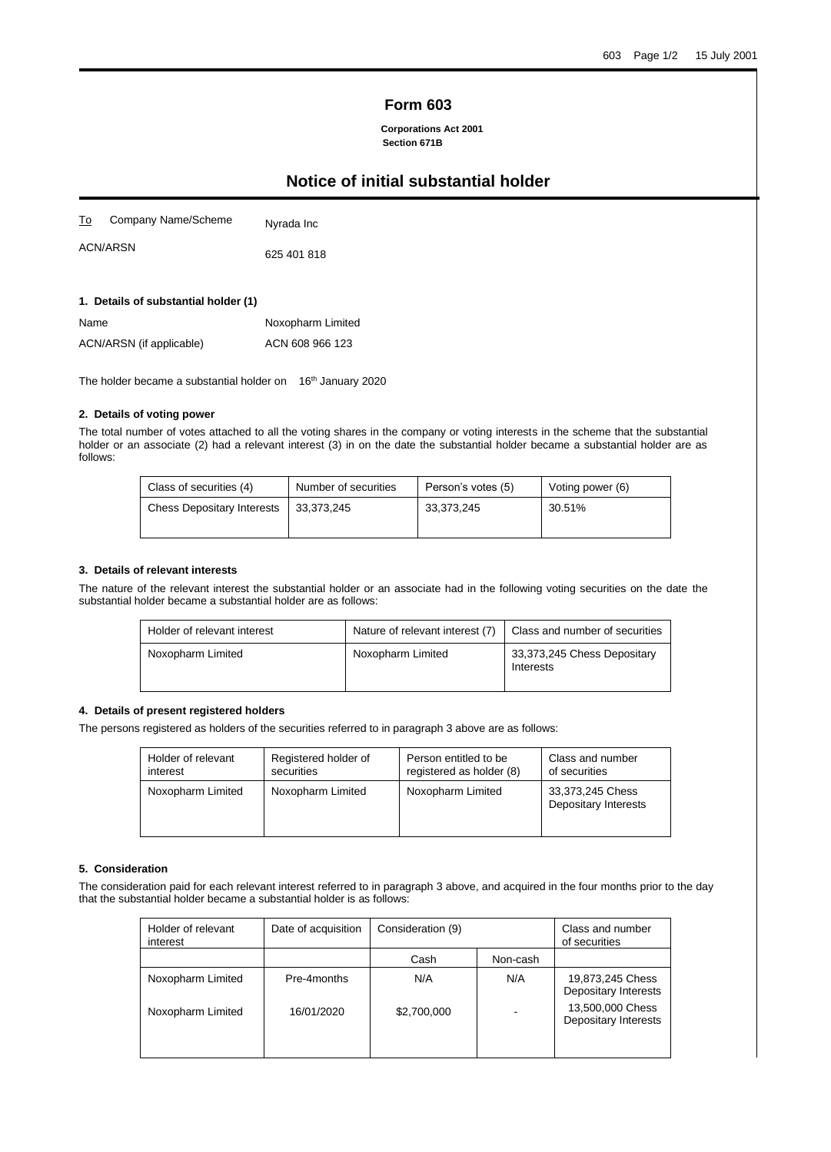## **Form 603**

**Corporations Act 2001 Section 671B**

# **Notice of initial substantial holder**

| <u>To</u> | Company Name/Scheme | Nyrada Inc  |
|-----------|---------------------|-------------|
|           | <b>ACN/ARSN</b>     | 625 401 818 |

**1. Details of substantial holder (1)**

| Name                     | Noxopharm Limited |
|--------------------------|-------------------|
| ACN/ARSN (if applicable) | ACN 608 966 123   |

The holder became a substantial holder on 16<sup>th</sup> January 2020

## **2. Details of voting power**

The total number of votes attached to all the voting shares in the company or voting interests in the scheme that the substantial holder or an associate (2) had a relevant interest (3) in on the date the substantial holder became a substantial holder are as follows:

| Class of securities (4)           | Number of securities | Person's votes (5) | Voting power (6) |
|-----------------------------------|----------------------|--------------------|------------------|
| <b>Chess Depositary Interests</b> | 33.373.245           | 33,373,245         | 30.51%           |

#### **3. Details of relevant interests**

The nature of the relevant interest the substantial holder or an associate had in the following voting securities on the date the substantial holder became a substantial holder are as follows:

| Holder of relevant interest | Nature of relevant interest (7) | Class and number of securities           |
|-----------------------------|---------------------------------|------------------------------------------|
| Noxopharm Limited           | Noxopharm Limited               | 33,373,245 Chess Depositary<br>Interests |

#### **4. Details of present registered holders**

The persons registered as holders of the securities referred to in paragraph 3 above are as follows:

| Holder of relevant | Registered holder of | Person entitled to be    | Class and number                         |
|--------------------|----------------------|--------------------------|------------------------------------------|
| interest           | securities           | registered as holder (8) | of securities                            |
| Noxopharm Limited  | Noxopharm Limited    | Noxopharm Limited        | 33,373,245 Chess<br>Depositary Interests |

#### **5. Consideration**

The consideration paid for each relevant interest referred to in paragraph 3 above, and acquired in the four months prior to the day that the substantial holder became a substantial holder is as follows:

| Holder of relevant<br>interest | Date of acquisition | Consideration (9) |          | Class and number<br>of securities        |
|--------------------------------|---------------------|-------------------|----------|------------------------------------------|
|                                |                     | Cash              | Non-cash |                                          |
| Noxopharm Limited              | Pre-4months         | N/A               | N/A      | 19,873,245 Chess<br>Depositary Interests |
| Noxopharm Limited              | 16/01/2020          | \$2,700,000       |          | 13,500,000 Chess<br>Depositary Interests |